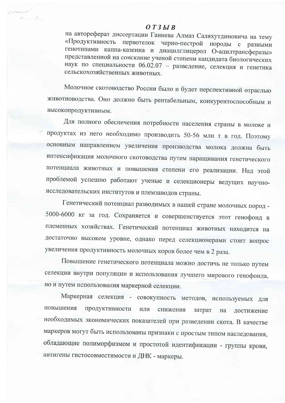## $O T 3 H B$

 $\mathbb{P}^1 \qquad \qquad \mathbb{P}^1$ 

на автореферат диссертации Ганиева Алмаз Саляхутдиновича на тему «Продуктивность первотелок черно-пестрой породы с разными генотипами каппа-казеина и диацилглицерол О-ацилтрансферазы» представленной на соискание ученой степени кандидата биологических наук по специальности 06.02.07 - разведение, селекция и генетика сельскохозяйственных животных.

Молочное скотоводство России было и будет перспективной отраслью животноводства. Оно должно быть рентабельным, конкурентоспособным и высокопродуктивным.

Для полного обеспечения потребности населения страны в молоке и продуктах из него необходимо производить 50-56 млн т в год. Поэтому основным направлением увеличения производства молока должна быть интенсификация молочного скотоводства путем наращивания генетического потенциала животных и повышения степени его реализации. Над этой проблемой успешно работают ученые и селекционеры ведущих научноисследовательских институтов и племзаводов страны.

Генетический потенциал разводимых в нашей стране молочных пород -5000-6000 кг за год. Сохраняется и совершенствуется этот генофонд в племенных хозяйствах. Генетический потенциал животных находится на достаточно высоком уровне, однако перед селекционерами стоит вопрос увеличения продуктивность молочных коров более чем в 2 раза.

Повышение генетического потенциала можно достичь не только путем селекции внутри популяции и использования лучшего мирового генофонда, но и путем использования маркерной селекции.

Маркерная селекция - совокупность методов, используемых для повышения продуктивности ИЛИ снижения затрат на достижение необходимых экономических показателей при разведении скота. В качестве маркеров могут быть использованы признаки с простым типом наследования, обладающие полиморфизмом и простотой идентификации - группы крови, антигены гистосовместимости и ДНК - маркеры.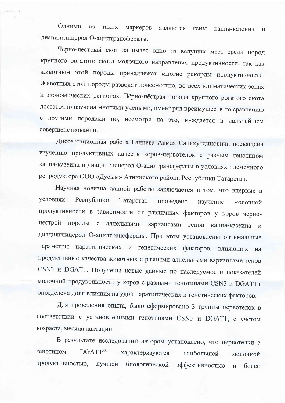Одними **H3** таких маркеров являются гены каппа-казеина  $\overline{M}$ диацилглицерол О-ацилтрансферазы.

Черно-пестрый скот занимает одно из ведущих мест среди пород крупного рогатого скота молочного направления продуктивности, так как животным этой породы принадлежат многие рекорды продуктивности. Животных этой породы разводят повсеместно, во всех климатических зонах и экономических регионах. Чёрно-пёстрая порода крупного рогатого скота достаточно изучена многими учеными, имеет ряд преимуществ по сравнению с другими породами но, несмотря на это, нуждается в дальнейшем совершенствовании.

Диссертационная работа Ганиева Алмаз Саляхутдиновича посвящена изучению продуктивных качеств коров-первотелок с разным генотипом каппа-казеина и диацилглицерол О-ацилтрансферазы в условиях племенного репродуктора ООО «Дусым» Атнинского района Республики Татарстан.

Научная новизна данной работы заключается в том, что впервые в условиях Республики Татарстан проведено изучение молочной продуктивности в зависимости от различных факторов у коров чернопестрой породы с аллельными вариантами генов каппа-казеина  $\overline{M}$ диацилглицерол О-ацилтрансферазы. При этом установлены оптимальные параметры паратипических и генетических факторов, влияющих на продуктивные качества животных с разными аллельными вариантами генов CSN3 и DGAT1. Получены новые данные по наследуемости показателей молочной продуктивности у коров с разными генотипами CSN3 и DGAT1и определена доля влияния на удой паратипических и генетических факторов.

Для проведения опыта, было сформировано 3 группы первотелок в соответствии с установленными генотипами CSN3 и DGAT1, с учетом возраста, месяца лактации.

В результате исследований автором установлено, что первотелки с генотипом DGAT1<sup>AK</sup>. характеризуются наибольшей молочной продуктивностью, лучшей биологической эффективностью  $\overline{\mathbf{M}}$ более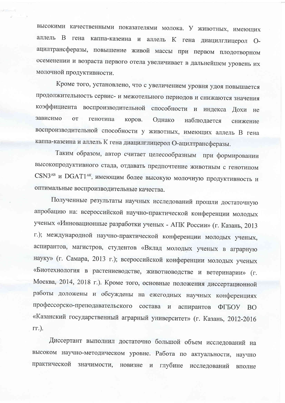высокими качественными показателями молока. У животных, имеющих аллель В гена каппа-казеина и аллель К гена диацилглицерол Оацилтрансферазы, повышение живой массы при первом плодотворном осеменении и возраста первого отела увеличивает в дальнейшем уровень их молочной продуктивности.

Кроме того, установлено, что с увеличением уровня удоя повышается продолжительность сервис- и межотельного периодов и снижаются значения коэффициента воспроизводительной способности и индекса Дохи не зависимо  $_{\text{OT}}$ генотипа коров. Однако наблюдается снижение воспроизводительной способности у животных, имеющих аллель В гена каппа-казеина и аллель К гена диацилглицерол О-ацилтрансферазы.

Таким образом, автор считает целесообразным при формировании высокопродуктивного стада, отдавать предпочтение животным с генотипом CSN3<sup>AB</sup> и DGAT1<sup>AK</sup>, имеющим более высокую молочную продуктивность и оптимальные воспроизводительные качества.

Полученные результаты научных исследований прошли достаточную апробацию на: всероссийской научно-практической конференции молодых ученых «Инновационные разработки ученых - АПК России» (г. Казань, 2013 г.); международной научно-практической конференции молодых ученых, аспирантов, магистров, студентов «Вклад молодых ученых в аграрную науку» (г. Самара, 2013 г.); всероссийской конференции молодых ученых «Биотехнология в растениеводстве, животноводстве и ветеринарии» (г. Москва, 2014, 2018 г.). Кроме того, основные положения диссертационной работы доложены и обсуждены на ежегодных научных конференциях профессорско-преподавательского состава и аспирантов ФГБОУ ВО «Казанский государственный аграрный университет» (г. Казань, 2012-2016  $\Gamma\Gamma$ .).

Диссертант выполнил достаточно большой объем исследований на высоком научно-методическом уровне. Работа по актуальности, научно практической значимости, новизне и глубине исследований вполне